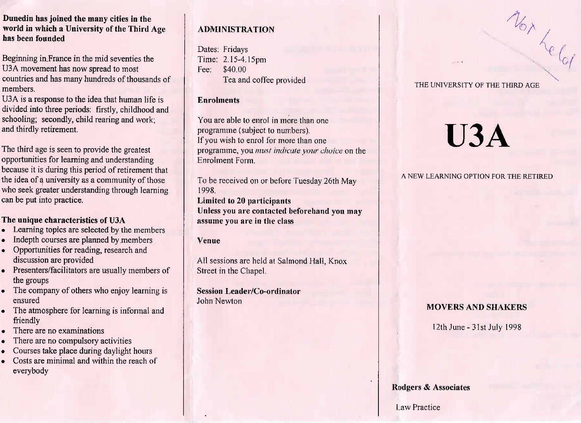#### Dunedin has joined the many cities in the world in which a University of the Third Agehas been founded

Beginning in France in the mid seventies theU3A movement has now spread to most countries and has many hundreds of thousands ofmembers.

 U3A is a response to the idea that human life is divided into three periods; firstly, childhood andschooling; secondly, child rearing and work;and thirdly retirement.

The third age is seen to provide the greatest opportunities for learning and understanding because it is during this period of retirement thatthe idea of a university as a community of those who seek greater understanding through learningcan be put into practice.

### The unique characteristics of U3A

- Learning topics are selected by the members
- Indepth courses are planned by members
- Opportunities for reading, research anddiscussion are provided
- Presenters/facilitators are usually members ofthe groups
- I he company of others who enjoy learning is ensured
- The atmosphere for learning is informal and friendly
- I nere are no examinations
- There are no compulsory activities
- Courses take place during daylight hours
- Costs are minimal and within the reach ofeverybody

# **ADMINISTRATION**

Dates: Fridays Time: 2.15-4.15pmFee: \$40.00Tea and coffee provided

### Enrolments

You are able to enrol in more than oneprogramme (subject to numbers). If you wish to enrol for more than one programme, you *must indicate your choice* on theEnrolment Form.

To be received on or before Tuesday 26th May1998. Limited to 20 participants Unless you are contacted beforehand you mayassume you are in the class

#### Venue

All sessions are held at Salmond Hall, Knox Street in the Chapel.

Session Leader/Co-ordinator John Newton

#### THE UNIVERSITY OF THE THIRD AGE

# **U3A**

### A NEW LEARNING OPTION FOR THE RETIRED

## **MOVERS AND SHAKERS**

12th June-31st July 1998

Rodgers *&* Associates

Law Practice